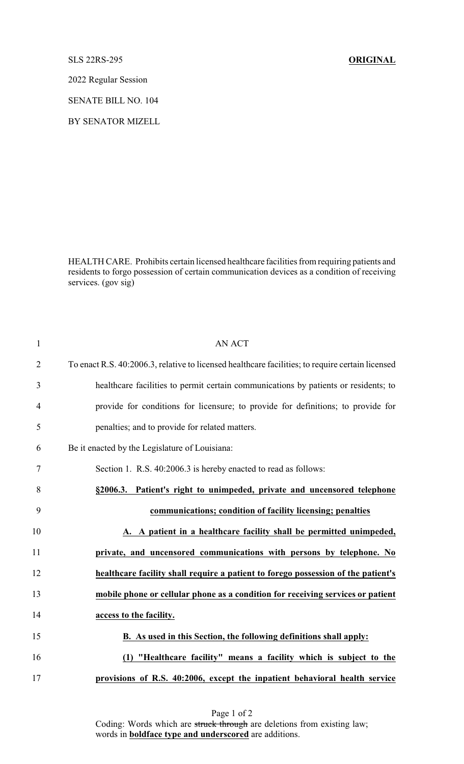SLS 22RS-295 **ORIGINAL**

2022 Regular Session

SENATE BILL NO. 104

BY SENATOR MIZELL

HEALTH CARE. Prohibits certain licensed healthcare facilities from requiring patients and residents to forgo possession of certain communication devices as a condition of receiving services. (gov sig)

| $\mathbf{1}$   | <b>AN ACT</b>                                                                                    |
|----------------|--------------------------------------------------------------------------------------------------|
| $\overline{2}$ | To enact R.S. 40:2006.3, relative to licensed healthcare facilities; to require certain licensed |
| 3              | healthcare facilities to permit certain communications by patients or residents; to              |
| $\overline{4}$ | provide for conditions for licensure; to provide for definitions; to provide for                 |
| 5              | penalties; and to provide for related matters.                                                   |
| 6              | Be it enacted by the Legislature of Louisiana:                                                   |
| 7              | Section 1. R.S. 40:2006.3 is hereby enacted to read as follows:                                  |
| 8              | Patient's right to unimpeded, private and uncensored telephone<br>§2006.3.                       |
| 9              | communications; condition of facility licensing; penalties                                       |
| 10             | A. A patient in a healthcare facility shall be permitted unimpeded,                              |
| 11             | private, and uncensored communications with persons by telephone. No                             |
| 12             | healthcare facility shall require a patient to forego possession of the patient's                |
| 13             | mobile phone or cellular phone as a condition for receiving services or patient                  |
| 14             | access to the facility.                                                                          |
| 15             | B. As used in this Section, the following definitions shall apply:                               |
| 16             | (1) "Healthcare facility" means a facility which is subject to the                               |
| 17             | provisions of R.S. 40:2006, except the inpatient behavioral health service                       |

Page 1 of 2 Coding: Words which are struck through are deletions from existing law; words in **boldface type and underscored** are additions.